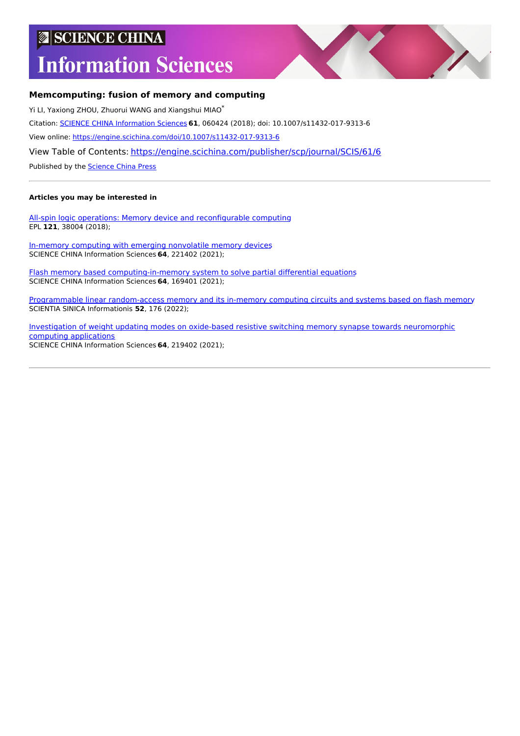## **SCIENCE CHINA**

# **Information Sciences**



#### **Memcomputing: fusion of memory and computing**

Yi LI, Yaxiong ZHOU, Zhuorui WANG and Xiangshui MIAO\* Citation: SCIENCE CHINA [Information](https://engine.scichina.com/publisher/scp/journal/SCIS) Sciences **61**, 060424 (2018); doi: 10.1007/s11432-017-9313-6 View online: <https://engine.scichina.com/doi/10.1007/s11432-017-9313-6> View Table of Contents: <https://engine.scichina.com/publisher/scp/journal/SCIS/61/6>

Published by the [Science](https://engine.scichina.com/publisher/scp) China Press

#### **Articles you may be interested in**

All-spin logic operations: Memory device and [reconfigurable](https://engine.scichina.com/doi/10.1209/0295-5075/121/38004) computing EPL **121**, 38004 (2018);

In-memory computing with emerging [nonvolatile](https://engine.scichina.com/doi/10.1007/s11432-021-3327-7) memory devices SCIENCE CHINA Information Sciences **64**, 221402 (2021);

Flash memory based [computing-in-memory](https://engine.scichina.com/doi/10.1007/s11432-020-2942-2) system to solve partial differential equations SCIENCE CHINA Information Sciences **64**, 169401 (2021);

Programmable linear [random-access](https://engine.scichina.com/doi/10.1360/SSI-2021-0157) memory and its in-memory computing circuits and systems based on flash memory SCIENTIA SINICA Informationis **52**, 176 (2022);

Investigation of weight updating modes on oxide-based resistive switching memory synapse towards [neuromorphic](https://engine.scichina.com/doi/10.1007/s11432-020-3127-x) computing applications SCIENCE CHINA Information Sciences **64**, 219402 (2021);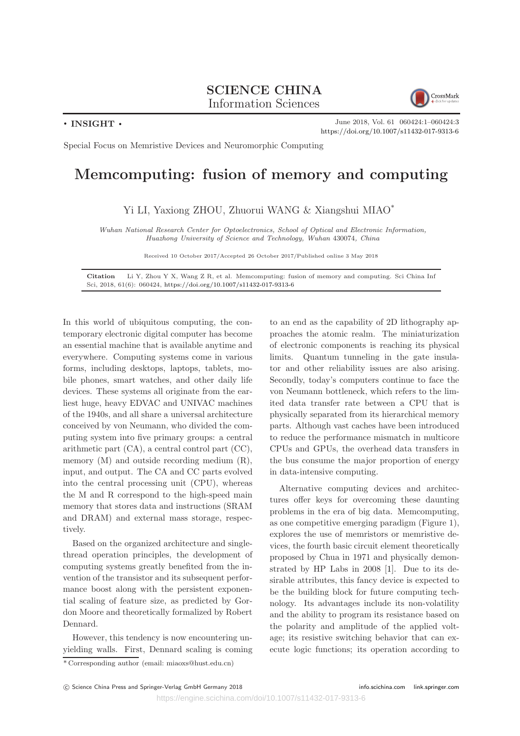#### SCIENCE CHINA Information Sciences





June 2018, Vol. 61 060424:1–060424:3 <https://doi.org/10.1007/s11432-017-9313-6>

Special Focus on Memristive Devices and Neuromorphic Computing

### Memcomputing: fusion of memory and computing

Yi LI, Yaxiong ZHOU, Zhuorui WANG & Xiangshui MIAO\*

Wuhan National Research Center for Optoelectronics, School of Optical and Electronic Information, Huazhong University of Science and Technology, Wuhan 430074, China

Received 10 October 2017/Accepted 26 October 2017/Published online 3 May 2018

Citation Li Y, Zhou Y X, Wang Z R, et al. Memcomputing: fusion of memory and computing. Sci China Inf Sci, 2018, 61(6): 060424, <https://doi.org/10.1007/s11432-017-9313-6>

In this world of ubiquitous computing, the contemporary electronic digital computer has become an essential machine that is available anytime and everywhere. Computing systems come in various forms, including desktops, laptops, tablets, mobile phones, smart watches, and other daily life devices. These systems all originate from the earliest huge, heavy EDVAC and UNIVAC machines of the 1940s, and all share a universal architecture conceived by von Neumann, who divided the computing system into five primary groups: a central arithmetic part (CA), a central control part (CC), memory  $(M)$  and outside recording medium  $(R)$ , input, and output. The CA and CC parts evolved into the central processing unit (CPU), whereas the M and R correspond to the high-speed main memory that stores data and instructions (SRAM and DRAM) and external mass storage, respectively.

Based on the organized architecture and singlethread operation principles, the development of computing systems greatly benefited from the invention of the transistor and its subsequent performance boost along with the persistent exponential scaling of feature size, as predicted by Gordon Moore and theoretically formalized by Robert Dennard.

However, this tendency is now encountering unyielding walls. First, Dennard scaling is coming to an end as the capability of 2D lithography approaches the atomic realm. The miniaturization of electronic components is reaching its physical limits. Quantum tunneling in the gate insulator and other reliability issues are also arising. Secondly, today's computers continue to face the von Neumann bottleneck, which refers to the limited data transfer rate between a CPU that is physically separated from its hierarchical memory parts. Although vast caches have been introduced to reduce the performance mismatch in multicore CPUs and GPUs, the overhead data transfers in the bus consume the major proportion of energy in data-intensive computing.

Alternative computing devices and architectures offer keys for overcoming these daunting problems in the era of big data. Memcomputing, as one competitive emerging paradigm (Figure 1), explores the use of memristors or memristive devices, the fourth basic circuit element theoretically proposed by Chua in 1971 and physically demonstrated by HP Labs in 2008 [1]. Due to its desirable attributes, this fancy device is expected to be the building block for future computing technology. Its advantages include its non-volatility and the ability to program its resistance based on the polarity and amplitude of the applied voltage; its resistive switching behavior that can execute logic functions; its operation according to

<sup>\*</sup> Corresponding author (email: miaoxs@hust.edu.cn)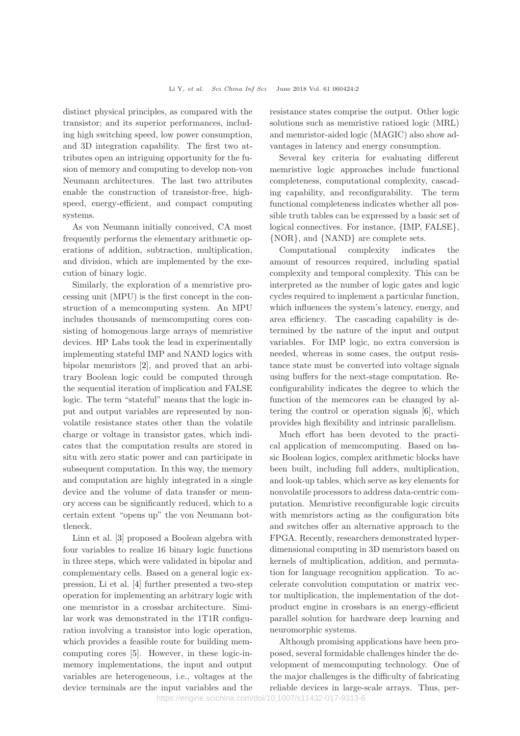distinct physical principles, as compared with the transistor; and its superior performances, including high switching speed, low power consumption, and 3D integration capability. The first two attributes open an intriguing opportunity for the fusion of memory and computing to develop non-von Neumann architectures. The last two attributes enable the construction of transistor-free, highspeed, energy-efficient, and compact computing systems.

As von Neumann initially conceived, CA most frequently performs the elementary arithmetic operations of addition, subtraction, multiplication, and division, which are implemented by the execution of binary logic.

Similarly, the exploration of a memristive processing unit (MPU) is the first concept in the construction of a memcomputing system. An MPU includes thousands of memcomputing cores consisting of homogenous large arrays of memristive devices. HP Labs took the lead in experimentally implementing stateful IMP and NAND logics with bipolar memristors [2], and proved that an arbitrary Boolean logic could be computed through the sequential iteration of implication and FALSE logic. The term "stateful" means that the logic input and output variables are represented by nonvolatile resistance states other than the volatile charge or voltage in transistor gates, which indicates that the computation results are stored in situ with zero static power and can participate in subsequent computation. In this way, the memory and computation are highly integrated in a single device and the volume of data transfer or memory access can be significantly reduced, which to a certain extent "opens up" the von Neumann bottleneck.

Linn et al. [3] proposed a Boolean algebra with four variables to realize 16 binary logic functions in three steps, which were validated in bipolar and complementary cells. Based on a general logic expression, Li et al. [4] further presented a two-step operation for implementing an arbitrary logic with one memristor in a crossbar architecture. Similar work was demonstrated in the 1T1R configuration involving a transistor into logic operation, which provides a feasible route for building memcomputing cores [5]. However, in these logic-inmemory implementations, the input and output variables are heterogeneous, i.e., voltages at the device terminals are the input variables and the resistance states comprise the output. Other logic solutions such as memristive ratioed logic (MRL) and memristor-aided logic (MAGIC) also show advantages in latency and energy consumption.

Several key criteria for evaluating different memristive logic approaches include functional completeness, computational complexity, cascading capability, and reconfigurability. The term functional completeness indicates whether all possible truth tables can be expressed by a basic set of logical connectives. For instance, {IMP, FALSE}, {NOR}, and {NAND} are complete sets.

Computational complexity indicates the amount of resources required, including spatial complexity and temporal complexity. This can be interpreted as the number of logic gates and logic cycles required to implement a particular function, which influences the system's latency, energy, and area efficiency. The cascading capability is determined by the nature of the input and output variables. For IMP logic, no extra conversion is needed, whereas in some cases, the output resistance state must be converted into voltage signals using buffers for the next-stage computation. Reconfigurability indicates the degree to which the function of the memcores can be changed by altering the control or operation signals [6], which provides high flexibility and intrinsic parallelism.

Much effort has been devoted to the practical application of memcomputing. Based on basic Boolean logics, complex arithmetic blocks have been built, including full adders, multiplication, and look-up tables, which serve as key elements for nonvolatile processors to address data-centric computation. Memristive reconfigurable logic circuits with memristors acting as the configuration bits and switches offer an alternative approach to the FPGA. Recently, researchers demonstrated hyperdimensional computing in 3D memristors based on kernels of multiplication, addition, and permutation for language recognition application. To accelerate convolution computation or matrix vector multiplication, the implementation of the dotproduct engine in crossbars is an energy-efficient parallel solution for hardware deep learning and neuromorphic systems.

Although promising applications have been proposed, several formidable challenges hinder the development of memcomputing technology. One of the major challenges is the difficulty of fabricating reliable devices in large-scale arrays. Thus, per-